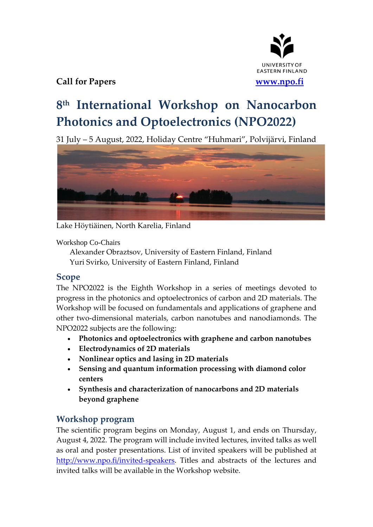

## **Call for Papers [www.npo.fi](http://www.npo.fi/)**

# **8 th International Workshop on Nanocarbon Photonics and Optoelectronics (NPO2022)**

31 July – 5 August, 2022, Holiday Centre "Huhmari", Polvijärvi, Finland



Lake Höytiäinen, North Karelia, Finland

Workshop Co-Chairs

Alexander Obraztsov, University of Eastern Finland, Finland Yuri Svirko, University of Eastern Finland, Finland

## **Scope**

The NPO2022 is the Eighth Workshop in a series of meetings devoted to progress in the photonics and optoelectronics of carbon and 2D materials. The Workshop will be focused on fundamentals and applications of graphene and other two-dimensional materials, carbon nanotubes and nanodiamonds. The NPO2022 subjects are the following:

- **Photonics and optoelectronics with graphene and carbon nanotubes**
- **Electrodynamics of 2D materials**
- **Nonlinear optics and lasing in 2D materials**
- **Sensing and quantum information processing with diamond color centers**
- **Synthesis and characterization of nanocarbons and 2D materials beyond graphene**

## **Workshop program**

The scientific program begins on Monday, August 1, and ends on Thursday, August 4, 2022. The program will include invited lectures, invited talks as well as oral and poster presentations. List of invited speakers will be published at [http://www.npo.fi/invited-speakers.](http://www.npo.fi/invited-speakers) Titles and abstracts of the lectures and invited talks will be available in the Workshop website.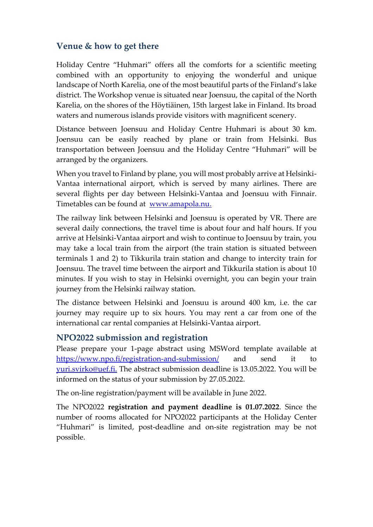#### **Venue & how to get there**

Holiday Centre "Huhmari" offers all the comforts for a scientific meeting combined with an opportunity to enjoying the wonderful and unique landscape of North Karelia, one of the most beautiful parts of the Finland's lake district. The Workshop venue is situated near Joensuu, the capital of the North Karelia, on the shores of the Höytiäinen, 15th largest lake in Finland. Its broad waters and numerous islands provide visitors with magnificent scenery.

Distance between Joensuu and Holiday Centre Huhmari is about 30 km. Joensuu can be easily reached by plane or train from Helsinki. Bus transportation between Joensuu and the Holiday Centre "Huhmari" will be arranged by the organizers.

When you travel to Finland by plane, you will most probably arrive at Helsinki-Vantaa international airport, which is served by many airlines. There are several flights per day between Helsinki-Vantaa and Joensuu with Finnair. Timetables can be found at [www.amapola.nu.](http://www.finnair.com./)

The railway link between Helsinki and Joensuu is operated by VR. There are several daily connections, the travel time is about four and half hours. If you arrive at Helsinki-Vantaa airport and wish to continue to Joensuu by train, you may take a local train from the airport (the train station is situated between terminals 1 and 2) to Tikkurila train station and change to intercity train for Joensuu. The travel time between the airport and Tikkurila station is about 10 minutes. If you wish to stay in Helsinki overnight, you can begin your train journey from the Helsinki railway station.

The distance between Helsinki and Joensuu is around 400 km, i.e. the car journey may require up to six hours. You may rent a car from one of the international car rental companies at Helsinki-Vantaa airport.

#### **NPO2022 submission and registration**

Please prepare your 1-page abstract using MSWord template available at <https://www.npo.fi/registration-and-submission/> and send it to [yuri.svirko@uef.fi.](mailto:organizers@npo.fi) The abstract submission deadline is 13.05.2022. You will be informed on the status of your submission by 27.05.2022.

The on-line registration/payment will be available in June 2022.

The NPO2022 **registration and payment deadline is 01.07.2022**. Since the number of rooms allocated for NPO2022 participants at the Holiday Center "Huhmari" is limited, post-deadline and on-site registration may be not possible.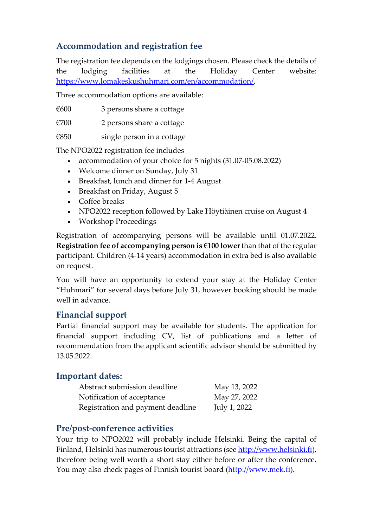## **Accommodation and registration fee**

The registration fee depends on the lodgings chosen. Please check the details of the lodging facilities at the Holiday Center website: [https://www.lomakeskushuhmari.com/en/accommodation/.](https://www.lomakeskushuhmari.com/en/accommodation/)

Three accommodation options are available:

 $€600$  3 persons share a cottage

 $€700$  2 persons share a cottage

 $€850$  single person in a cottage

The NPO2022 registration fee includes

- accommodation of your choice for 5 nights (31.07-05.08.2022)
- Welcome dinner on Sunday, July 31
- Breakfast, lunch and dinner for 1-4 August
- Breakfast on Friday, August 5
- Coffee breaks
- NPO2022 reception followed by Lake Höytiäinen cruise on August 4
- Workshop Proceedings

Registration of accompanying persons will be available until 01.07.2022. **Registration fee of accompanying person is €100 lower** than that of the regular participant. Children (4-14 years) accommodation in extra bed is also available on request.

You will have an opportunity to extend your stay at the Holiday Center "Huhmari" for several days before July 31, however booking should be made well in advance.

## **Financial support**

Partial financial support may be available for students. The application for financial support including CV, list of publications and a letter of recommendation from the applicant scientific advisor should be submitted by 13.05.2022.

## **Important dates:**

| Abstract submission deadline      | May 13, 2022 |
|-----------------------------------|--------------|
| Notification of acceptance        | May 27, 2022 |
| Registration and payment deadline | July 1, 2022 |

## **Pre/post-conference activities**

Your trip to NPO2022 will probably include Helsinki. Being the capital of Finland, Helsinki has numerous tourist attractions (see [http://www.helsinki.fi\)](http://www.helsinki.fi/), therefore being well worth a short stay either before or after the conference. You may also check pages of Finnish tourist board [\(http://www.mek.fi\)](http://www.mek.fi/).